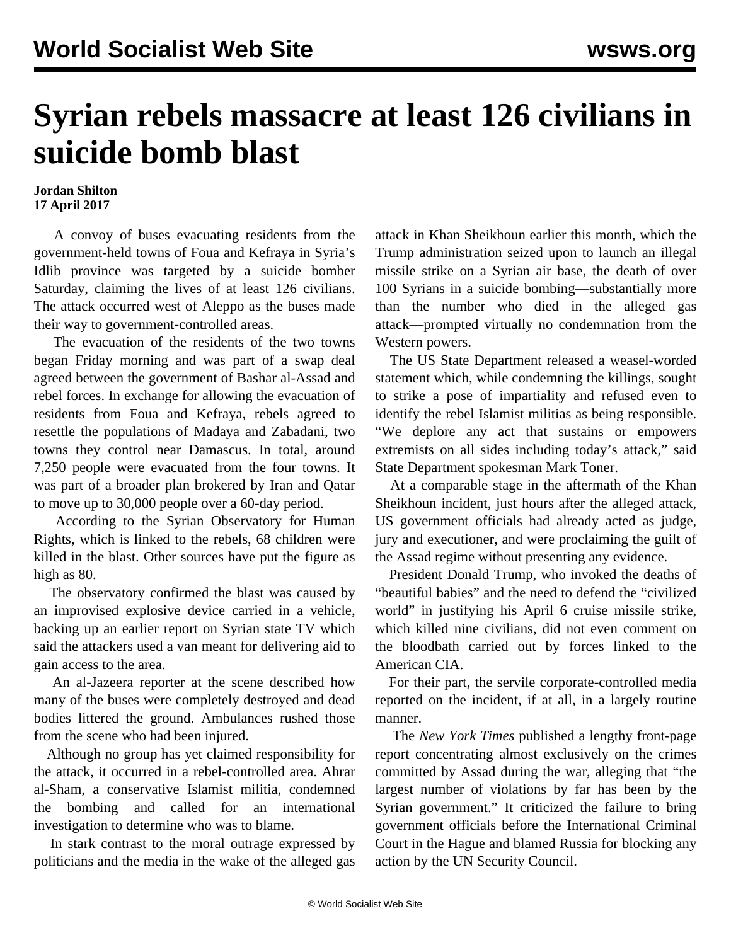## **Syrian rebels massacre at least 126 civilians in suicide bomb blast**

## **Jordan Shilton 17 April 2017**

 A convoy of buses evacuating residents from the government-held towns of Foua and Kefraya in Syria's Idlib province was targeted by a suicide bomber Saturday, claiming the lives of at least 126 civilians. The attack occurred west of Aleppo as the buses made their way to government-controlled areas.

 The evacuation of the residents of the two towns began Friday morning and was part of a swap deal agreed between the government of Bashar al-Assad and rebel forces. In exchange for allowing the evacuation of residents from Foua and Kefraya, rebels agreed to resettle the populations of Madaya and Zabadani, two towns they control near Damascus. In total, around 7,250 people were evacuated from the four towns. It was part of a broader plan brokered by Iran and Qatar to move up to 30,000 people over a 60-day period.

 According to the Syrian Observatory for Human Rights, which is linked to the rebels, 68 children were killed in the blast. Other sources have put the figure as high as 80.

 The observatory confirmed the blast was caused by an improvised explosive device carried in a vehicle, backing up an earlier report on Syrian state TV which said the attackers used a van meant for delivering aid to gain access to the area.

 An al-Jazeera reporter at the scene described how many of the buses were completely destroyed and dead bodies littered the ground. Ambulances rushed those from the scene who had been injured.

 Although no group has yet claimed responsibility for the attack, it occurred in a rebel-controlled area. Ahrar al-Sham, a conservative Islamist militia, condemned the bombing and called for an international investigation to determine who was to blame.

 In stark contrast to the moral outrage expressed by politicians and the media in the wake of the alleged gas

attack in Khan Sheikhoun earlier this month, which the Trump administration seized upon to launch an illegal missile strike on a Syrian air base, the death of over 100 Syrians in a suicide bombing—substantially more than the number who died in the alleged gas attack—prompted virtually no condemnation from the Western powers.

 The US State Department released a weasel-worded statement which, while condemning the killings, sought to strike a pose of impartiality and refused even to identify the rebel Islamist militias as being responsible. "We deplore any act that sustains or empowers extremists on all sides including today's attack," said State Department spokesman Mark Toner.

 At a comparable stage in the aftermath of the Khan Sheikhoun incident, just hours after the alleged attack, US government officials had already acted as judge, jury and executioner, and were proclaiming the guilt of the Assad regime without presenting any evidence.

 President Donald Trump, who invoked the deaths of "beautiful babies" and the need to defend the "civilized world" in justifying his April 6 cruise missile strike, which killed nine civilians, did not even comment on the bloodbath carried out by forces linked to the American CIA.

 For their part, the servile corporate-controlled media reported on the incident, if at all, in a largely routine manner.

 The *New York Times* published a lengthy front-page report concentrating almost exclusively on the crimes committed by Assad during the war, alleging that "the largest number of violations by far has been by the Syrian government." It criticized the failure to bring government officials before the International Criminal Court in the Hague and blamed Russia for blocking any action by the UN Security Council.